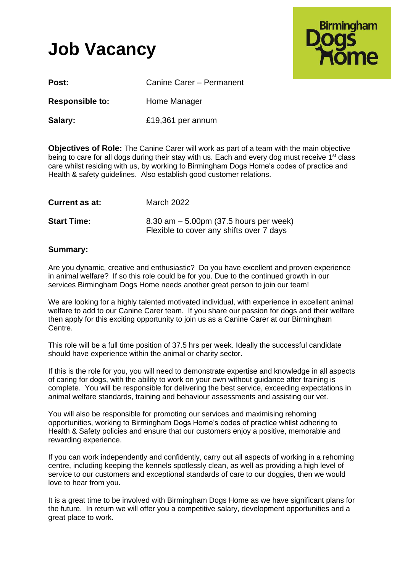# **Job Vacancy**



| Post:                  | Canine Carer - Permanent |
|------------------------|--------------------------|
| <b>Responsible to:</b> | Home Manager             |
| Salary:                | £19,361 per annum        |

**Objectives of Role:** The Canine Carer will work as part of a team with the main objective being to care for all dogs during their stay with us. Each and every dog must receive 1<sup>st</sup> class care whilst residing with us, by working to Birmingham Dogs Home's codes of practice and Health & safety guidelines. Also establish good customer relations.

| <b>Current as at:</b> | March 2022                                                                             |
|-----------------------|----------------------------------------------------------------------------------------|
| <b>Start Time:</b>    | $8.30$ am $-5.00$ pm (37.5 hours per week)<br>Flexible to cover any shifts over 7 days |

# **Summary:**

Are you dynamic, creative and enthusiastic? Do you have excellent and proven experience in animal welfare? If so this role could be for you. Due to the continued growth in our services Birmingham Dogs Home needs another great person to join our team!

We are looking for a highly talented motivated individual, with experience in excellent animal welfare to add to our Canine Carer team. If you share our passion for dogs and their welfare then apply for this exciting opportunity to join us as a Canine Carer at our Birmingham Centre.

This role will be a full time position of 37.5 hrs per week. Ideally the successful candidate should have experience within the animal or charity sector.

If this is the role for you, you will need to demonstrate expertise and knowledge in all aspects of caring for dogs, with the ability to work on your own without guidance after training is complete. You will be responsible for delivering the best service, exceeding expectations in animal welfare standards, training and behaviour assessments and assisting our vet.

You will also be responsible for promoting our services and maximising rehoming opportunities, working to Birmingham Dogs Home's codes of practice whilst adhering to Health & Safety policies and ensure that our customers enjoy a positive, memorable and rewarding experience.

If you can work independently and confidently, carry out all aspects of working in a rehoming centre, including keeping the kennels spotlessly clean, as well as providing a high level of service to our customers and exceptional standards of care to our doggies, then we would love to hear from you.

It is a great time to be involved with Birmingham Dogs Home as we have significant plans for the future. In return we will offer you a competitive salary, development opportunities and a great place to work.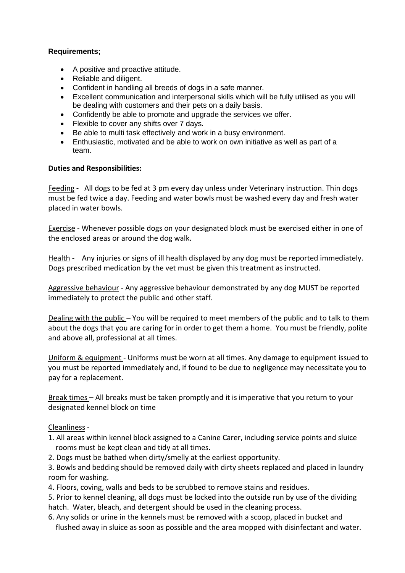# **Requirements;**

- A positive and proactive attitude.
- Reliable and diligent.
- Confident in handling all breeds of dogs in a safe manner.
- Excellent communication and interpersonal skills which will be fully utilised as you will be dealing with customers and their pets on a daily basis.
- Confidently be able to promote and upgrade the services we offer.
- Flexible to cover any shifts over 7 days.
- Be able to multi task effectively and work in a busy environment.
- Enthusiastic, motivated and be able to work on own initiative as well as part of a team.

### **Duties and Responsibilities:**

Feeding - All dogs to be fed at 3 pm every day unless under Veterinary instruction. Thin dogs must be fed twice a day. Feeding and water bowls must be washed every day and fresh water placed in water bowls.

Exercise - Whenever possible dogs on your designated block must be exercised either in one of the enclosed areas or around the dog walk.

Health - Any injuries or signs of ill health displayed by any dog must be reported immediately. Dogs prescribed medication by the vet must be given this treatment as instructed.

Aggressive behaviour - Any aggressive behaviour demonstrated by any dog MUST be reported immediately to protect the public and other staff.

Dealing with the public – You will be required to meet members of the public and to talk to them about the dogs that you are caring for in order to get them a home. You must be friendly, polite and above all, professional at all times.

Uniform & equipment - Uniforms must be worn at all times. Any damage to equipment issued to you must be reported immediately and, if found to be due to negligence may necessitate you to pay for a replacement.

Break times – All breaks must be taken promptly and it is imperative that you return to your designated kennel block on time

### Cleanliness -

- 1. All areas within kennel block assigned to a Canine Carer, including service points and sluice rooms must be kept clean and tidy at all times.
- 2. Dogs must be bathed when dirty/smelly at the earliest opportunity.

3. Bowls and bedding should be removed daily with dirty sheets replaced and placed in laundry room for washing.

4. Floors, coving, walls and beds to be scrubbed to remove stains and residues.

5. Prior to kennel cleaning, all dogs must be locked into the outside run by use of the dividing hatch. Water, bleach, and detergent should be used in the cleaning process.

6. Any solids or urine in the kennels must be removed with a scoop, placed in bucket and flushed away in sluice as soon as possible and the area mopped with disinfectant and water.